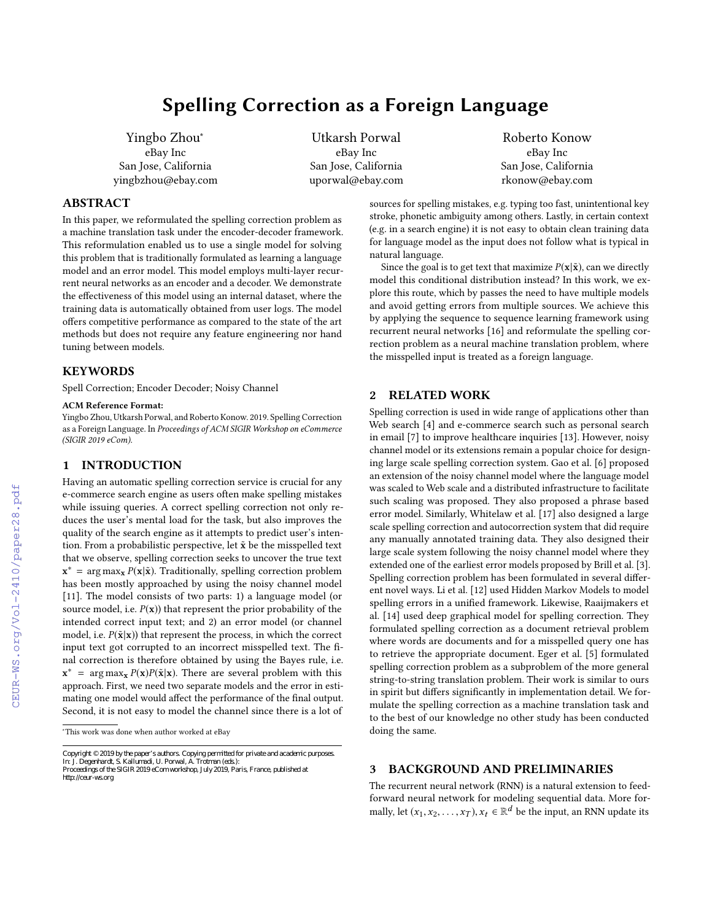# Spelling Correction as a Foreign Language

Yingbo Zhou<sup>∗</sup> eBay Inc San Jose, California yingbzhou@ebay.com

Utkarsh Porwal eBay Inc San Jose, California uporwal@ebay.com

Roberto Konow eBay Inc San Jose, California rkonow@ebay.com

## ABSTRACT

In this paper, we reformulated the spelling correction problem as a machine translation task under the encoder-decoder framework. This reformulation enabled us to use a single model for solving this problem that is traditionally formulated as learning a language model and an error model. This model employs multi-layer recurrent neural networks as an encoder and a decoder. We demonstrate the efectiveness of this model using an internal dataset, where the training data is automatically obtained from user logs. The model ofers competitive performance as compared to the state of the art methods but does not require any feature engineering nor hand tuning between models.

# **KEYWORDS**

Spell Correction; Encoder Decoder; Noisy Channel

#### ACM Reference Format:

Yingbo Zhou, Utkarsh Porwal, and Roberto Konow. 2019. Spelling Correction as a Foreign Language. In *Proceedings of ACM SIGIR Workshop on eCommerce (SIGIR 2019 eCom).* 

#### 1 INTRODUCTION

Having an automatic spelling correction service is crucial for any e-commerce search engine as users often make spelling mistakes while issuing queries. A correct spelling correction not only reduces the user's mental load for the task, but also improves the quality of the search engine as it attempts to predict user's intention. From a probabilistic perspective, let  $\tilde{\mathbf{x}}$  be the misspelled text that we observe, spelling correction seeks to uncover the true text  $\mathbf{x}^* = \arg \max_{\mathbf{x}} P(\mathbf{x} | \tilde{\mathbf{x}})$ . Traditionally, spelling correction problem has been mostly approached by using the noisy channel model [\[11\]](#page--1-1). The model consists of two parts: 1) a language model (or source model, i.e.  $P(x)$ ) that represent the prior probability of the intended correct input text; and 2) an error model (or channel model, i.e.  $P(\tilde{\mathbf{x}}|\mathbf{x})$  that represent the process, in which the correct input text got corrupted to an incorrect misspelled text. The final correction is therefore obtained by using the Bayes rule, i.e.  $x^*$  = arg max<sub>x</sub>  $P(x)P(\tilde{x}|x)$ . There are several problem with this approach. First, we need two separate models and the error in estimating one model would affect the performance of the final output. Second, it is not easy to model the channel since there is a lot of

<sup>∗</sup>This work was done when author worked at eBay

sources for spelling mistakes, e.g. typing too fast, unintentional key stroke, phonetic ambiguity among others. Lastly, in certain context (e.g. in a search engine) it is not easy to obtain clean training data for language model as the input does not follow what is typical in natural language.

Since the goal is to get text that maximize  $P(x|\tilde{x})$ , can we directly model this conditional distribution instead? In this work, we explore this route, which by passes the need to have multiple models and avoid getting errors from multiple sources. We achieve this by applying the sequence to sequence learning framework using recurrent neural networks [\[16\]](#page--1-2) and reformulate the spelling correction problem as a neural machine translation problem, where the misspelled input is treated as a foreign language.

# 2 RELATED WORK

Spelling correction is used in wide range of applications other than Web search [\[4\]](#page--1-3) and e-commerce search such as personal search in email [\[7\]](#page--1-4) to improve healthcare inquiries [\[13\]](#page--1-5). However, noisy channel model or its extensions remain a popular choice for designing large scale spelling correction system. Gao et al. [\[6\]](#page--1-6) proposed an extension of the noisy channel model where the language model was scaled to Web scale and a distributed infrastructure to facilitate such scaling was proposed. They also proposed a phrase based error model. Similarly, Whitelaw et al. [\[17\]](#page--1-7) also designed a large scale spelling correction and autocorrection system that did require any manually annotated training data. They also designed their large scale system following the noisy channel model where they extended one of the earliest error models proposed by Brill et al. [\[3\]](#page--1-8). Spelling correction problem has been formulated in several diferent novel ways. Li et al. [\[12\]](#page--1-9) used Hidden Markov Models to model spelling errors in a unified framework. Likewise, Raaijmakers et al. [\[14\]](#page--1-10) used deep graphical model for spelling correction. They formulated spelling correction as a document retrieval problem where words are documents and for a misspelled query one has to retrieve the appropriate document. Eger et al. [\[5\]](#page--1-11) formulated spelling correction problem as a subproblem of the more general string-to-string translation problem. Their work is similar to ours in spirit but differs significantly in implementation detail. We formulate the spelling correction as a machine translation task and to the best of our knowledge no other study has been conducted doing the same.

# 3 BACKGROUND AND PRELIMINARIES

The recurrent neural network (RNN) is a natural extension to feedforward neural network for modeling sequential data. More formally, let  $(x_1, x_2, \ldots, x_T)$ ,  $x_t \in \mathbb{R}^d$  be the input, an RNN update its

Copyright © 2019 by the paper's authors. Copying permitted for private and academic purposes.<br>In: J. Degenhardt, S. Kallumadi, U. Porwal, A. Trotman (eds.): Proceedings of the SIGIR 2019 eCom workshop, July 2019, Paris, France, published at on the irreduced page. Components for this work must be homogeneity components of this work must be homogeneit *http://ceur-ws.org*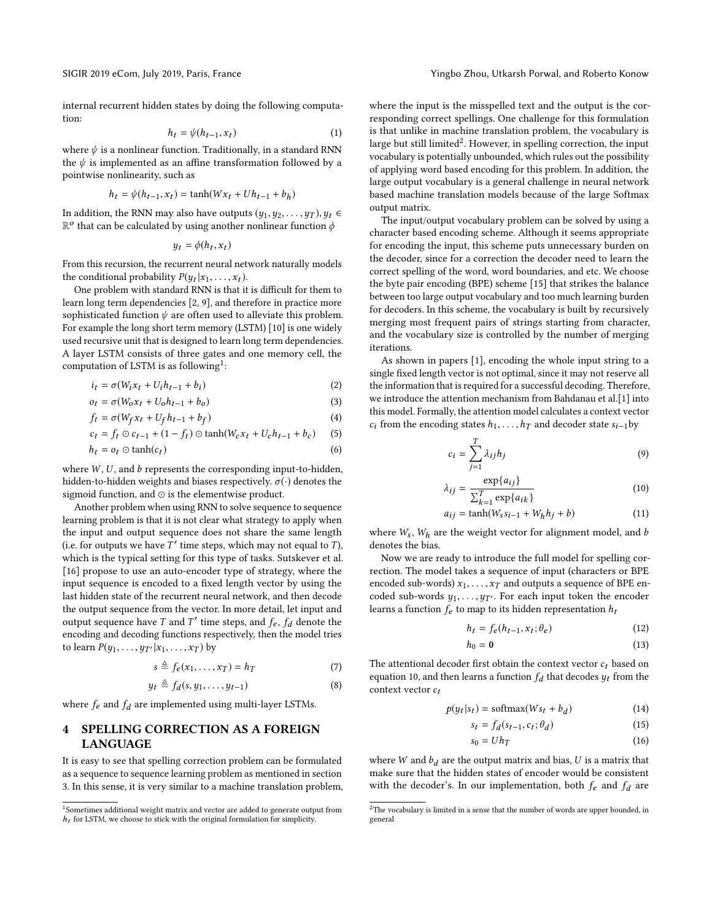internal recurrent hidden states by doing the following computation:

$$
h_t = \psi(h_{t-1}, x_t) \tag{1}
$$

where  $\psi$  is a nonlinear function. Traditionally, in a standard RNN the  $\psi$  is implemented as an affine transformation followed by a pointwise nonlinearity, such as

$$
h_t = \psi(h_{t-1}, x_t) = \tanh(Wx_t + Uh_{t-1} + b_h)
$$

In addition, the RNN may also have outputs  $(y_1, y_2, \ldots, y_T)$ ,  $y_t \in$  $\mathbb{R}^o$  that can be calculated by using another nonlinear function  $\phi$ 

$$
y_t = \phi(h_t, x_t)
$$

From this recursion, the recurrent neural network naturally models the conditional probability  $P(y_t|x_1, \ldots, x_t)$ .

One problem with standard RNN is that it is difficult for them to learn long term dependencies [\[2,](#page-3-0) [9\]](#page-3-1), and therefore in practice more sophisticated function  $\psi$  are often used to alleviate this problem. For example the long short term memory (LSTM) [\[10\]](#page-3-2) is one widely used recursive unit that is designed to learn long term dependencies. A layer LSTM consists of three gates and one memory cell, the computation of LSTM is as following<sup>[1](#page-1-0)</sup>:

$$
i_t = \sigma(W_i x_t + U_i h_{t-1} + b_i)
$$
\n<sup>(2)</sup>

$$
o_t = \sigma(W_0 x_t + U_0 h_{t-1} + b_0)
$$
\n<sup>(3)</sup>

$$
f_t = \sigma(W_f x_t + U_f h_{t-1} + b_f)
$$
\n(4)

$$
c_t = f_t \odot c_{t-1} + (1 - f_t) \odot \tanh(W_c x_t + U_c h_{t-1} + b_c)
$$
 (5)

$$
h_t = o_t \odot \tanh(c_t) \tag{6}
$$

where  $W$ ,  $U$ , and  $b$  represents the corresponding input-to-hidden, hidden-to-hidden weights and biases respectively.  $\sigma(\cdot)$  denotes the sigmoid function, and ⊙ is the elementwise product.

Another problem when using RNN to solve sequence to sequence learning problem is that it is not clear what strategy to apply when the input and output sequence does not share the same length (i.e. for outputs we have  $T'$  time steps, which may not equal to  $T$ ), which is the typical setting for this type of tasks. Sutskever et al. [\[16\]](#page-3-3) propose to use an auto-encoder type of strategy, where the input sequence is encoded to a fixed length vector by using the last hidden state of the recurrent neural network, and then decode the output sequence from the vector. In more detail, let input and output sequence have  $T$  and  $T'$  time steps, and  $f_e$ ,  $f_d$  denote the encoding and decoding functions respectively, then the model tries to learn  $P(y_1, \ldots, y_{T'} | x_1, \ldots, x_T)$  by

$$
s \triangleq f_e(x_1, \dots, x_T) = h_T \tag{7}
$$

$$
y_t \triangleq f_d(s, y_1, \dots, y_{t-1})
$$
\n(8)

where  $f_e$  and  $f_d$  are implemented using multi-layer LSTMs.

# 4 SPELLING CORRECTION AS A FOREIGN LANGUAGE

It is easy to see that spelling correction problem can be formulated as a sequence to sequence learning problem as mentioned in section [3.](#page--1-12) In this sense, it is very similar to a machine translation problem, where the input is the misspelled text and the output is the corresponding correct spellings. One challenge for this formulation is that unlike in machine translation problem, the vocabulary is large but still limited<sup>[2](#page-1-1)</sup>. However, in spelling correction, the input vocabulary is potentially unbounded, which rules out the possibility of applying word based encoding for this problem. In addition, the large output vocabulary is a general challenge in neural network based machine translation models because of the large Softmax output matrix.

The input/output vocabulary problem can be solved by using a character based encoding scheme. Although it seems appropriate for encoding the input, this scheme puts unnecessary burden on the decoder, since for a correction the decoder need to learn the correct spelling of the word, word boundaries, and etc. We choose the byte pair encoding (BPE) scheme [\[15\]](#page-3-4) that strikes the balance between too large output vocabulary and too much learning burden for decoders. In this scheme, the vocabulary is built by recursively merging most frequent pairs of strings starting from character, and the vocabulary size is controlled by the number of merging iterations.

As shown in papers [\[1\]](#page-3-5), encoding the whole input string to a single fixed length vector is not optimal, since it may not reserve all the information that is required for a successful decoding. Therefore, we introduce the attention mechanism from Bahdanau et al.[\[1\]](#page-3-5) into this model. Formally, the attention model calculates a context vector  $c_i$  from the encoding states  $h_1, \ldots, h_T$  and decoder state  $s_{i-1}$  by

$$
c_i = \sum_{j=1}^{T} \lambda_{ij} h_j \tag{9}
$$

<span id="page-1-2"></span>
$$
\lambda_{ij} = \frac{\exp\{a_{ij}\}}{\sum_{k=1}^{T} \exp\{a_{ik}\}}\tag{10}
$$

$$
a_{ij} = \tanh(W_s s_{i-1} + W_h h_j + b) \tag{11}
$$

where  $W_s$ ,  $W_h$  are the weight vector for alignment model, and  $b$ denotes the bias.

Now we are ready to introduce the full model for spelling correction. The model takes a sequence of input (characters or BPE encoded sub-words)  $x_1, \ldots, x_T$  and outputs a sequence of BPE encoded sub-words  $y_1, \ldots, y_{T}$ . For each input token the encoder learns a function  $f_e$  to map to its hidden representation  $\boldsymbol{h}_t$ 

$$
h_t = f_e(h_{t-1}, x_t; \theta_e)
$$
 (12)

$$
h_0 = \mathbf{0} \tag{13}
$$

The attentional decoder first obtain the context vector  $c_t$  based on equation [10,](#page-1-2) and then learns a function  $f_d$  that decodes  $y_t$  from the context vector  $c_t$ 

$$
p(y_t|s_t) = \text{softmax}(Ws_t + b_d) \tag{14}
$$

$$
s_t = f_d(s_{t-1}, c_t; \theta_d) \tag{15}
$$

$$
s_0 = Uh_T \tag{16}
$$

where W and  $b_d$  are the output matrix and bias, U is a matrix that make sure that the hidden states of encoder would be consistent with the decoder's. In our implementation, both  $f_e$  and  $f_d$  are

<span id="page-1-0"></span><sup>&</sup>lt;sup>1</sup>Sometimes additional weight matrix and vector are added to generate output from  $h_t$  for LSTM, we choose to stick with the original formulation for simplicity.

<span id="page-1-1"></span> $^2\mathrm{The}$  vocabulary is limited in a sense that the number of words are upper bounded, in general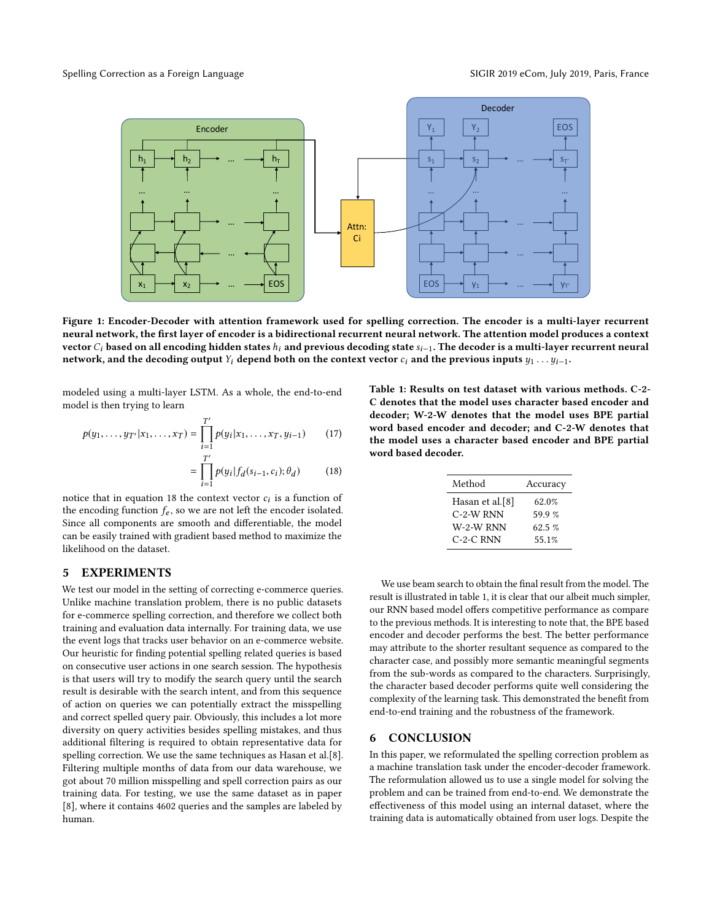

Figure 1: Encoder-Decoder with attention framework used for spelling correction. The encoder is a multi-layer recurrent neural network, the first layer of encoder is a bidirectional recurrent neural network. The attention model produces a context vector  $C_i$  based on all encoding hidden states  $h_i$  and previous decoding state  $s_{i-1}$ . The decoder is a multi-layer recurrent neural network, and the decoding output Y<sub>i</sub> depend both on the context vector  $c_i$  and the previous inputs  $y_1 \ldots y_{i-1}$ .

modeled using a multi-layer LSTM. As a whole, the end-to-end model is then trying to learn

$$
p(y_1, \ldots, y_{T'} | x_1, \ldots, x_T) = \prod_{i=1}^{T'} p(y_i | x_1, \ldots, x_T, y_{i-1}) \qquad (17)
$$

$$
= \prod_{i=1}^{T'} p(y_i | f_d(s_{i-1}, c_i); \theta_d)
$$
 (18)

notice that in equation [18](#page-2-0) the context vector  $c_i$  is a function of the encoding function  $f_e$ , so we are not left the encoder isolated. Since all components are smooth and diferentiable, the model can be easily trained with gradient based method to maximize the likelihood on the dataset.

#### 5 EXPERIMENTS

We test our model in the setting of correcting e-commerce queries. Unlike machine translation problem, there is no public datasets for e-commerce spelling correction, and therefore we collect both training and evaluation data internally. For training data, we use the event logs that tracks user behavior on an e-commerce website. Our heuristic for finding potential spelling related queries is based on consecutive user actions in one search session. The hypothesis is that users will try to modify the search query until the search result is desirable with the search intent, and from this sequence of action on queries we can potentially extract the misspelling and correct spelled query pair. Obviously, this includes a lot more diversity on query activities besides spelling mistakes, and thus additional filtering is required to obtain representative data for spelling correction. We use the same techniques as Hasan et al.[\[8\]](#page-3-6). Filtering multiple months of data from our data warehouse, we got about 70 million misspelling and spell correction pairs as our training data. For testing, we use the same dataset as in paper [\[8\]](#page-3-6), where it contains 4602 queries and the samples are labeled by human.

<span id="page-2-1"></span><span id="page-2-0"></span>Table 1: Results on test dataset with various methods. C-2- C denotes that the model uses character based encoder and decoder; W-2-W denotes that the model uses BPE partial word based encoder and decoder; and C-2-W denotes that the model uses a character based encoder and BPE partial word based decoder.

| Method          | Accuracy  |
|-----------------|-----------|
| Hasan et al.[8] | 62.0%     |
| $C-2-W$ RNN     | 59.9 $%$  |
| W-2-W RNN       | $62.5 \%$ |
| $C-2-C$ RNN     | 55.1%     |
|                 |           |

We use beam search to obtain the final result from the model. The result is illustrated in table [1,](#page-2-1) it is clear that our albeit much simpler, our RNN based model ofers competitive performance as compare to the previous methods. It is interesting to note that, the BPE based encoder and decoder performs the best. The better performance may attribute to the shorter resultant sequence as compared to the character case, and possibly more semantic meaningful segments from the sub-words as compared to the characters. Surprisingly, the character based decoder performs quite well considering the complexity of the learning task. This demonstrated the benefit from end-to-end training and the robustness of the framework.

#### 6 CONCLUSION

In this paper, we reformulated the spelling correction problem as a machine translation task under the encoder-decoder framework. The reformulation allowed us to use a single model for solving the problem and can be trained from end-to-end. We demonstrate the efectiveness of this model using an internal dataset, where the training data is automatically obtained from user logs. Despite the